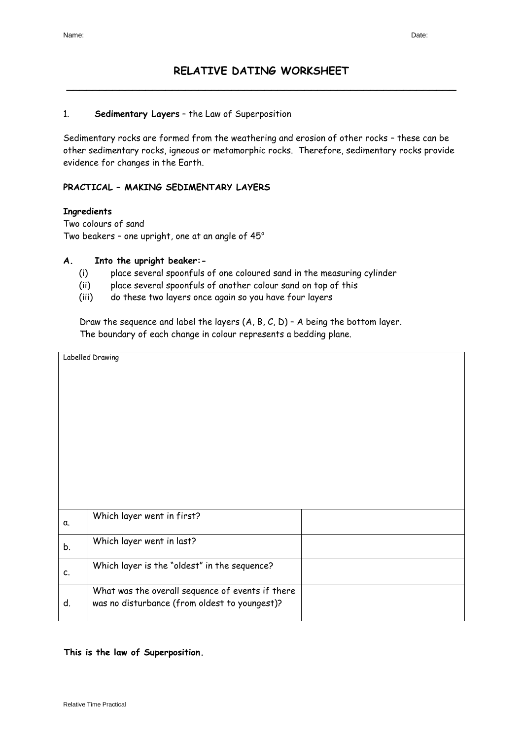# **RELATIVE DATING WORKSHEET** \_\_\_\_\_\_\_\_\_\_\_\_\_\_\_\_\_\_\_\_\_\_\_\_\_\_\_\_\_\_\_\_\_\_\_\_\_\_\_\_\_\_\_\_\_\_\_\_\_\_\_\_\_\_\_\_\_\_\_

#### 1. **Sedimentary Layers** – the Law of Superposition

Sedimentary rocks are formed from the weathering and erosion of other rocks – these can be other sedimentary rocks, igneous or metamorphic rocks. Therefore, sedimentary rocks provide evidence for changes in the Earth.

### **PRACTICAL – MAKING SEDIMENTARY LAYERS**

#### **Ingredients**

Two colours of sand Two beakers - one upright, one at an angle of  $45^\circ$ 

### **A. Into the upright beaker:-**

- (i) place several spoonfuls of one coloured sand in the measuring cylinder
- (ii) place several spoonfuls of another colour sand on top of this
- (iii) do these two layers once again so you have four layers

Draw the sequence and label the layers  $(A, B, C, D)$  - A being the bottom layer. The boundary of each change in colour represents a bedding plane.

|             | Labelled Drawing                                 |  |  |
|-------------|--------------------------------------------------|--|--|
|             |                                                  |  |  |
|             |                                                  |  |  |
|             |                                                  |  |  |
|             |                                                  |  |  |
|             |                                                  |  |  |
|             |                                                  |  |  |
|             |                                                  |  |  |
|             |                                                  |  |  |
|             |                                                  |  |  |
|             |                                                  |  |  |
|             |                                                  |  |  |
| α.          | Which layer went in first?                       |  |  |
|             |                                                  |  |  |
| b.          | Which layer went in last?                        |  |  |
|             |                                                  |  |  |
| $c_{\cdot}$ | Which layer is the "oldest" in the sequence?     |  |  |
|             |                                                  |  |  |
|             | What was the overall sequence of events if there |  |  |
| d.          | was no disturbance (from oldest to youngest)?    |  |  |
|             |                                                  |  |  |

#### **This is the law of Superposition.**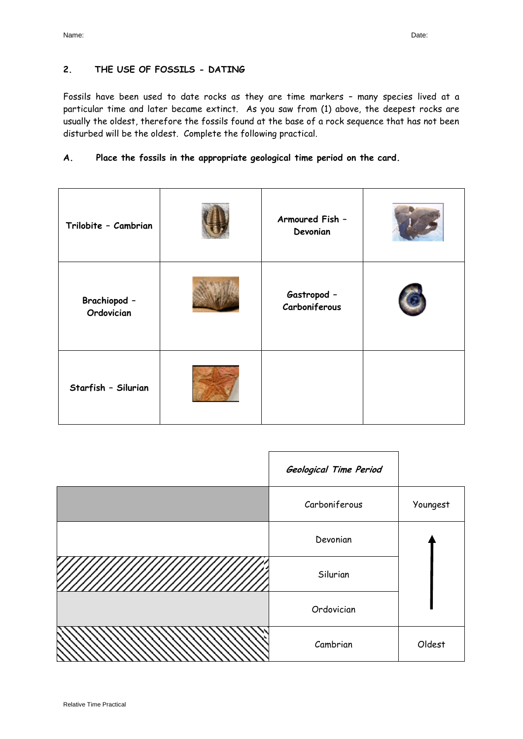# **2. THE USE OF FOSSILS - DATING**

Fossils have been used to date rocks as they are time markers – many species lived at a particular time and later became extinct. As you saw from (1) above, the deepest rocks are usually the oldest, therefore the fossils found at the base of a rock sequence that has not been disturbed will be the oldest. Complete the following practical.

### **A. Place the fossils in the appropriate geological time period on the card.**

| Trilobite - Cambrian       | Armoured Fish -<br>Devonian  |  |
|----------------------------|------------------------------|--|
| Brachiopod -<br>Ordovician | Gastropod -<br>Carboniferous |  |
| Starfish - Silurian        |                              |  |

|        | Geological Time Period |          |
|--------|------------------------|----------|
|        | Carboniferous          | Youngest |
|        | Devonian               |          |
| ////// | Silurian               |          |
|        | Ordovician             |          |
|        | Cambrian               | Oldest   |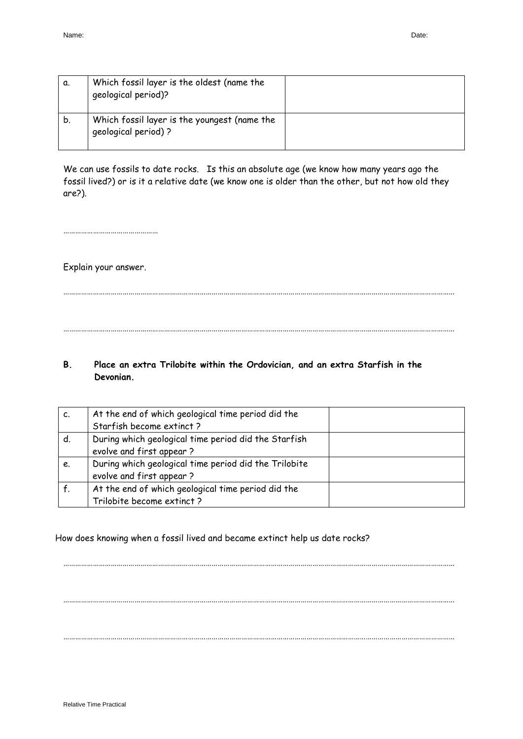| α. | Which fossil layer is the oldest (name the<br>qeological period)?   |  |
|----|---------------------------------------------------------------------|--|
| b. | Which fossil layer is the youngest (name the<br>qeological period)? |  |

We can use fossils to date rocks. Is this an absolute age (we know how many years ago the fossil lived?) or is it a relative date (we know one is older than the other, but not how old they are?).

………………………………………………………………………………………………………………………………………………………………………………

………………………………………………………………………………………………………………………………………………………………………………

…………………………………………

Explain your answer.

# **B. Place an extra Trilobite within the Ordovician, and an extra Starfish in the Devonian.**

| c. | At the end of which geological time period did the<br>Starfish become extinct? |  |
|----|--------------------------------------------------------------------------------|--|
|    |                                                                                |  |
| d. | During which geological time period did the Starfish                           |  |
|    | evolve and first appear?                                                       |  |
| e. | During which geological time period did the Trilobite                          |  |
|    | evolve and first appear?                                                       |  |
|    | At the end of which geological time period did the                             |  |
|    | Trilobite become extinct?                                                      |  |

………………………………………………………………………………………………………………………………………………………………………………

………………………………………………………………………………………………………………………………………………………………………………

………………………………………………………………………………………………………………………………………………………………………………

### How does knowing when a fossil lived and became extinct help us date rocks?

Relative Time Practical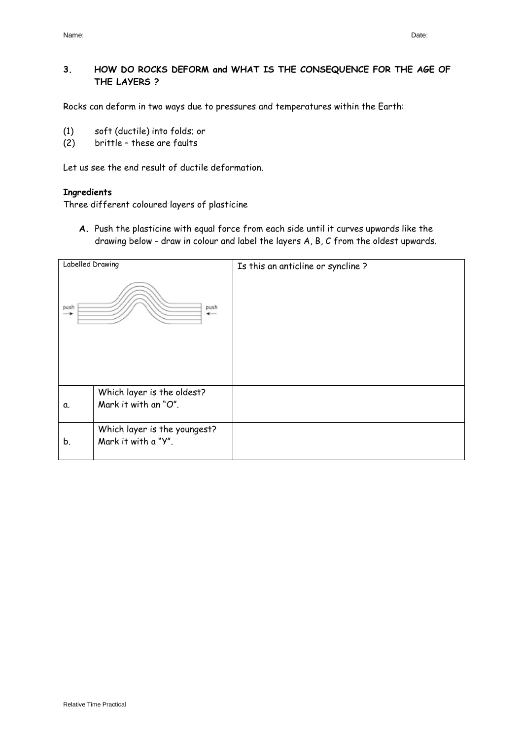# **3. HOW DO ROCKS DEFORM and WHAT IS THE CONSEQUENCE FOR THE AGE OF THE LAYERS ?**

Rocks can deform in two ways due to pressures and temperatures within the Earth:

- (1) soft (ductile) into folds; or
- (2) brittle these are faults

Let us see the end result of ductile deformation.

#### **Ingredients**

Three different coloured layers of plasticine

**A.** Push the plasticine with equal force from each side until it curves upwards like the drawing below - draw in colour and label the layers A, B, C from the oldest upwards.

| Labelled Drawing |                                                     | Is this an anticline or syncline? |
|------------------|-----------------------------------------------------|-----------------------------------|
| push<br>-        | push<br>$\leftarrow$                                |                                   |
| α.               | Which layer is the oldest?<br>Mark it with an "O".  |                                   |
| b.               | Which layer is the youngest?<br>Mark it with a "Y". |                                   |